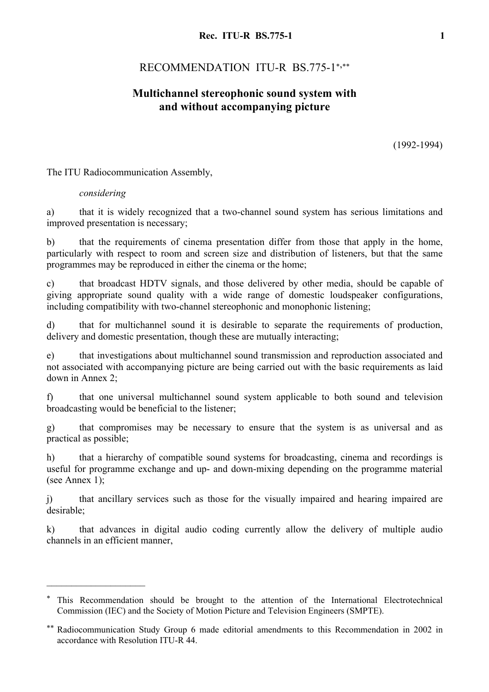# RECOMMENDATION ITU-R BS.775-1\*,\*\*

### **Multichannel stereophonic sound system with and without accompanying picture**

(1992-1994)

The ITU Radiocommunication Assembly,

#### *considering*

 $\mathcal{L}_\text{max}$ 

a) that it is widely recognized that a two-channel sound system has serious limitations and improved presentation is necessary;

b) that the requirements of cinema presentation differ from those that apply in the home, particularly with respect to room and screen size and distribution of listeners, but that the same programmes may be reproduced in either the cinema or the home;

c) that broadcast HDTV signals, and those delivered by other media, should be capable of giving appropriate sound quality with a wide range of domestic loudspeaker configurations, including compatibility with two-channel stereophonic and monophonic listening;

d) that for multichannel sound it is desirable to separate the requirements of production, delivery and domestic presentation, though these are mutually interacting;

e) that investigations about multichannel sound transmission and reproduction associated and not associated with accompanying picture are being carried out with the basic requirements as laid down in Annex 2;

f) that one universal multichannel sound system applicable to both sound and television broadcasting would be beneficial to the listener;

g) that compromises may be necessary to ensure that the system is as universal and as practical as possible;

h) that a hierarchy of compatible sound systems for broadcasting, cinema and recordings is useful for programme exchange and up- and down-mixing depending on the programme material (see Annex 1);

j) that ancillary services such as those for the visually impaired and hearing impaired are desirable;

k) that advances in digital audio coding currently allow the delivery of multiple audio channels in an efficient manner,

This Recommendation should be brought to the attention of the International Electrotechnical Commission (IEC) and the Society of Motion Picture and Television Engineers (SMPTE).

<sup>\*\*</sup> Radiocommunication Study Group 6 made editorial amendments to this Recommendation in 2002 in accordance with Resolution ITU-R 44.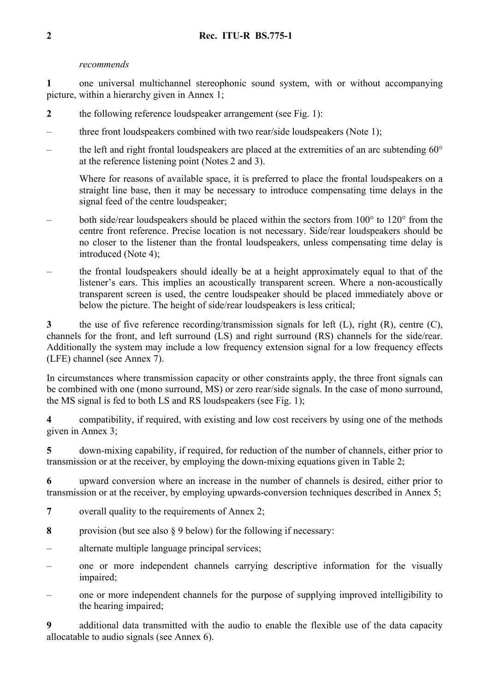#### *recommends*

**1** one universal multichannel stereophonic sound system, with or without accompanying picture, within a hierarchy given in Annex 1;

- **2** the following reference loudspeaker arrangement (see Fig. 1):
- three front loudspeakers combined with two rear/side loudspeakers (Note 1);
- the left and right frontal loudspeakers are placed at the extremities of an arc subtending  $60^{\circ}$ at the reference listening point (Notes 2 and 3).

Where for reasons of available space, it is preferred to place the frontal loudspeakers on a straight line base, then it may be necessary to introduce compensating time delays in the signal feed of the centre loudspeaker;

- both side/rear loudspeakers should be placed within the sectors from 100° to 120° from the centre front reference. Precise location is not necessary. Side/rear loudspeakers should be no closer to the listener than the frontal loudspeakers, unless compensating time delay is introduced (Note 4);
- the frontal loudspeakers should ideally be at a height approximately equal to that of the listener's ears. This implies an acoustically transparent screen. Where a non-acoustically transparent screen is used, the centre loudspeaker should be placed immediately above or below the picture. The height of side/rear loudspeakers is less critical;

**3** the use of five reference recording/transmission signals for left (L), right (R), centre (C), channels for the front, and left surround (LS) and right surround (RS) channels for the side/rear. Additionally the system may include a low frequency extension signal for a low frequency effects (LFE) channel (see Annex 7).

In circumstances where transmission capacity or other constraints apply, the three front signals can be combined with one (mono surround, MS) or zero rear/side signals. In the case of mono surround, the MS signal is fed to both LS and RS loudspeakers (see Fig. 1);

**4** compatibility, if required, with existing and low cost receivers by using one of the methods given in Annex 3;

**5** down-mixing capability, if required, for reduction of the number of channels, either prior to transmission or at the receiver, by employing the down-mixing equations given in Table 2;

**6** upward conversion where an increase in the number of channels is desired, either prior to transmission or at the receiver, by employing upwards-conversion techniques described in Annex 5;

- **7** overall quality to the requirements of Annex 2;
- **8** provision (but see also § 9 below) for the following if necessary:
- alternate multiple language principal services;
- one or more independent channels carrying descriptive information for the visually impaired;
- one or more independent channels for the purpose of supplying improved intelligibility to the hearing impaired;

**9** additional data transmitted with the audio to enable the flexible use of the data capacity allocatable to audio signals (see Annex 6).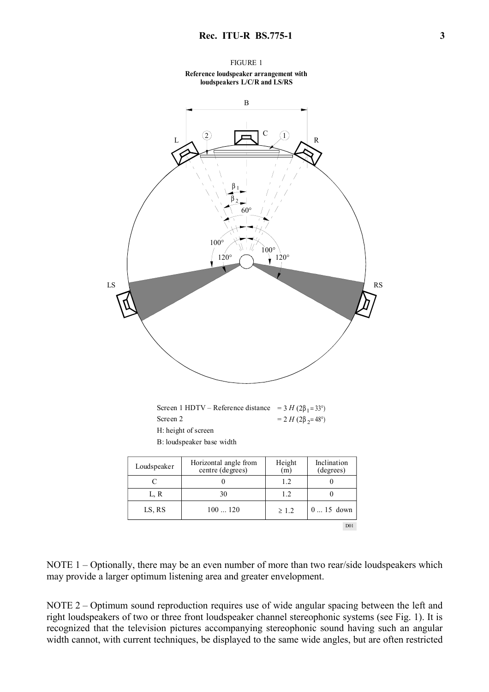



| Loudspeaker | Horizontal angle from<br>centre (degrees) | Height<br>(m) | melmation<br>(degrees) |
|-------------|-------------------------------------------|---------------|------------------------|
|             |                                           | 1.2           |                        |
| L, R        | 30                                        | 1.2           |                        |
| LS, RS      | 100120                                    | $\geq 1.2$    | $015$ down             |
|             |                                           |               | D <sub>01</sub>        |

NOTE 1 – Optionally, there may be an even number of more than two rear/side loudspeakers which may provide a larger optimum listening area and greater envelopment.

NOTE 2 – Optimum sound reproduction requires use of wide angular spacing between the left and right loudspeakers of two or three front loudspeaker channel stereophonic systems (see Fig. 1). It is recognized that the television pictures accompanying stereophonic sound having such an angular width cannot, with current techniques, be displayed to the same wide angles, but are often restricted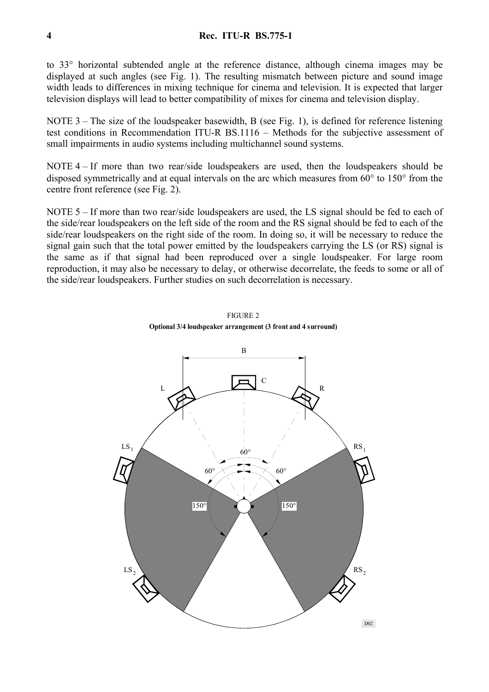to 33° horizontal subtended angle at the reference distance, although cinema images may be displayed at such angles (see Fig. 1). The resulting mismatch between picture and sound image width leads to differences in mixing technique for cinema and television. It is expected that larger television displays will lead to better compatibility of mixes for cinema and television display.

NOTE 3 – The size of the loudspeaker basewidth, B (see Fig. 1), is defined for reference listening test conditions in Recommendation ITU-R BS.1116 – Methods for the subjective assessment of small impairments in audio systems including multichannel sound systems.

NOTE 4 – If more than two rear/side loudspeakers are used, then the loudspeakers should be disposed symmetrically and at equal intervals on the arc which measures from 60° to 150° from the centre front reference (see Fig. 2).

NOTE 5 – If more than two rear/side loudspeakers are used, the LS signal should be fed to each of the side/rear loudspeakers on the left side of the room and the RS signal should be fed to each of the side/rear loudspeakers on the right side of the room. In doing so, it will be necessary to reduce the signal gain such that the total power emitted by the loudspeakers carrying the LS (or RS) signal is the same as if that signal had been reproduced over a single loudspeaker. For large room reproduction, it may also be necessary to delay, or otherwise decorrelate, the feeds to some or all of the side/rear loudspeakers. Further studies on such decorrelation is necessary.



FIGURE 2 **Optional 3/4 loudspeaker arrangement (3 front and 4 surround)**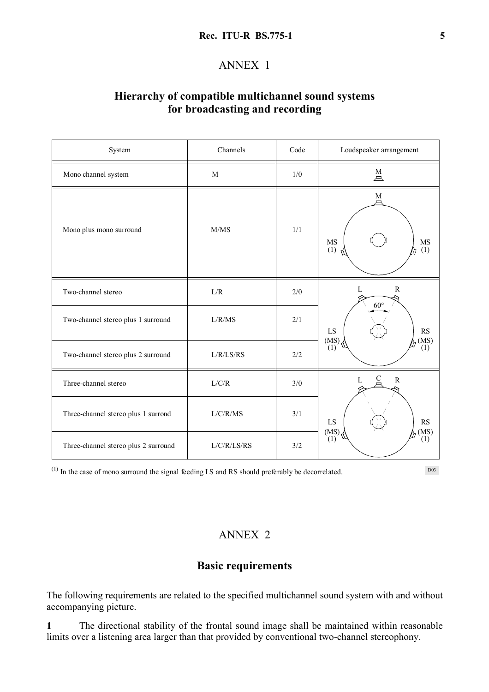#### **Rec. ITU-R BS.775-1** 5

#### ANNEX 1

## **Hierarchy of compatible multichannel sound systems for broadcasting and recording**

| System                               | Channels    | Code                  | Loudspeaker arrangement           |  |  |
|--------------------------------------|-------------|-----------------------|-----------------------------------|--|--|
| Mono channel system                  | M           | 1/0                   | $\stackrel{\text{M}}{\triangle}$  |  |  |
| Mono plus mono surround              | M/MS        | 1/1                   | M<br>$\rm MS$<br>MS<br>(1)<br>(1) |  |  |
| Two-channel stereo                   | L/R         | $2/0$                 | $\mathbb{R}$<br>L<br>$60^\circ$   |  |  |
| Two-channel stereo plus 1 surround   | L/R/MS      | 2/1                   | LS<br>RS<br>(MS)                  |  |  |
| Two-channel stereo plus 2 surround   | L/R/LS/RS   | $2/2$                 | $(MS)$ , $(1)$<br>(1)             |  |  |
| Three-channel stereo                 | L/C/R       | 3/0                   | C<br>${\bf R}$<br>$\mathbf{L}$    |  |  |
| Three-channel stereo plus 1 surrond  | L/C/R/MS    | 3/1                   | LS<br>RS<br>$(MS)$<br>$(1)$       |  |  |
| Three-channel stereo plus 2 surround | L/C/R/LS/RS | $(MS)$ , $(1)$<br>3/2 |                                   |  |  |

 $(1)$  In the case of mono surround the signal feeding LS and RS should preferably be decorrelated.

D03

### ANNEX 2

#### **Basic requirements**

The following requirements are related to the specified multichannel sound system with and without accompanying picture.

**1** The directional stability of the frontal sound image shall be maintained within reasonable limits over a listening area larger than that provided by conventional two-channel stereophony.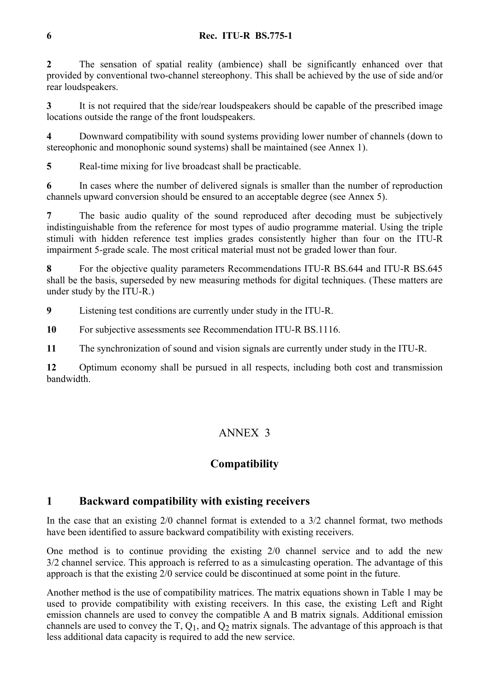#### **6 Rec. ITU-R BS.775-1**

**2** The sensation of spatial reality (ambience) shall be significantly enhanced over that provided by conventional two-channel stereophony. This shall be achieved by the use of side and/or rear loudspeakers.

**3** It is not required that the side/rear loudspeakers should be capable of the prescribed image locations outside the range of the front loudspeakers.

**4** Downward compatibility with sound systems providing lower number of channels (down to stereophonic and monophonic sound systems) shall be maintained (see Annex 1).

**5** Real-time mixing for live broadcast shall be practicable.

**6** In cases where the number of delivered signals is smaller than the number of reproduction channels upward conversion should be ensured to an acceptable degree (see Annex 5).

**7** The basic audio quality of the sound reproduced after decoding must be subjectively indistinguishable from the reference for most types of audio programme material. Using the triple stimuli with hidden reference test implies grades consistently higher than four on the ITU-R impairment 5-grade scale. The most critical material must not be graded lower than four.

**8** For the objective quality parameters Recommendations ITU-R BS.644 and ITU-R BS.645 shall be the basis, superseded by new measuring methods for digital techniques. (These matters are under study by the ITU-R.)

**9** Listening test conditions are currently under study in the ITU-R.

**10** For subjective assessments see Recommendation ITU-R BS.1116.

**11** The synchronization of sound and vision signals are currently under study in the ITU-R.

**12** Optimum economy shall be pursued in all respects, including both cost and transmission bandwidth.

# ANNEX 3

## **Compatibility**

## **1 Backward compatibility with existing receivers**

In the case that an existing 2/0 channel format is extended to a 3/2 channel format, two methods have been identified to assure backward compatibility with existing receivers.

One method is to continue providing the existing 2/0 channel service and to add the new 3/2 channel service. This approach is referred to as a simulcasting operation. The advantage of this approach is that the existing 2/0 service could be discontinued at some point in the future.

Another method is the use of compatibility matrices. The matrix equations shown in Table 1 may be used to provide compatibility with existing receivers. In this case, the existing Left and Right emission channels are used to convey the compatible A and B matrix signals. Additional emission channels are used to convey the  $T$ ,  $Q_1$ , and  $Q_2$  matrix signals. The advantage of this approach is that less additional data capacity is required to add the new service.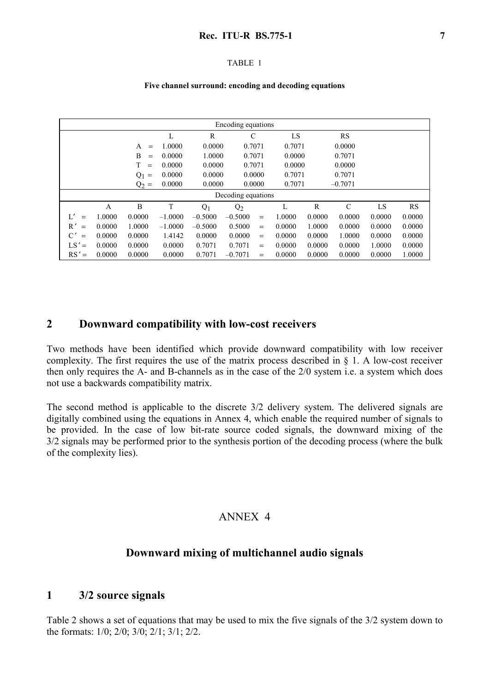#### TABLE 1

#### **Five channel surround: encoding and decoding equations**

| Encoding equations    |        |              |           |           |                    |        |        |        |               |        |           |
|-----------------------|--------|--------------|-----------|-----------|--------------------|--------|--------|--------|---------------|--------|-----------|
|                       |        |              | L         | R         | C                  |        | LS     |        | RS            |        |           |
|                       |        | A<br>$=$     | 1.0000    | 0.0000    | 0.7071             |        | 0.7071 |        | 0.0000        |        |           |
|                       |        | B<br>$=$     | 0.0000    | 1.0000    | 0.7071             |        | 0.0000 |        | 0.7071        |        |           |
|                       |        | T<br>$=$     | 0.0000    | 0.0000    | 0.7071             |        | 0.0000 |        | 0.0000        |        |           |
|                       |        | $Q_1$<br>$=$ | 0.0000    | 0.0000    |                    | 0.0000 | 0.7071 |        | 0.7071        |        |           |
|                       |        | $Q_2 =$      | 0.0000    | 0.0000    |                    | 0.0000 | 0.7071 |        | $-0.7071$     |        |           |
|                       |        |              |           |           | Decoding equations |        |        |        |               |        |           |
|                       | A      | B            | T         | $Q_1$     | $Q_2$              |        | L      | R      | $\mathcal{C}$ | LS     | <b>RS</b> |
| L'<br>$=$             | 1.0000 | 0.0000       | $-1.0000$ | $-0.5000$ | $-0.5000$          | $=$    | 1.0000 | 0.0000 | 0.0000        | 0.0000 | 0.0000    |
| $R^{\prime}$<br>$=$   | 0.0000 | 1.0000       | $-1.0000$ | $-0.5000$ | 0.5000             | $=$    | 0.0000 | 1.0000 | 0.0000        | 0.0000 | 0.0000    |
| $\mathcal{C}'$<br>$=$ | 0.0000 | 0.0000       | 1.4142    | 0.0000    | 0.0000             | $=$    | 0.0000 | 0.0000 | 1.0000        | 0.0000 | 0.0000    |
| $LS' =$               | 0.0000 | 0.0000       | 0.0000    | 0.7071    | 0.7071             | $=$    | 0.0000 | 0.0000 | 0.0000        | 1.0000 | 0.0000    |
| $RS' =$               | 0.0000 | 0.0000       | 0.0000    | 0.7071    | $-0.7071$          | $=$    | 0.0000 | 0.0000 | 0.0000        | 0.0000 | 1.0000    |

### **2 Downward compatibility with low-cost receivers**

Two methods have been identified which provide downward compatibility with low receiver complexity. The first requires the use of the matrix process described in § 1. A low-cost receiver then only requires the A- and B-channels as in the case of the 2/0 system i.e. a system which does not use a backwards compatibility matrix.

The second method is applicable to the discrete 3/2 delivery system. The delivered signals are digitally combined using the equations in Annex 4, which enable the required number of signals to be provided. In the case of low bit-rate source coded signals, the downward mixing of the 3/2 signals may be performed prior to the synthesis portion of the decoding process (where the bulk of the complexity lies).

#### ANNEX 4

#### **Downward mixing of multichannel audio signals**

#### **1 3/2 source signals**

Table 2 shows a set of equations that may be used to mix the five signals of the 3/2 system down to the formats: 1/0; 2/0; 3/0; 2/1; 3/1; 2/2.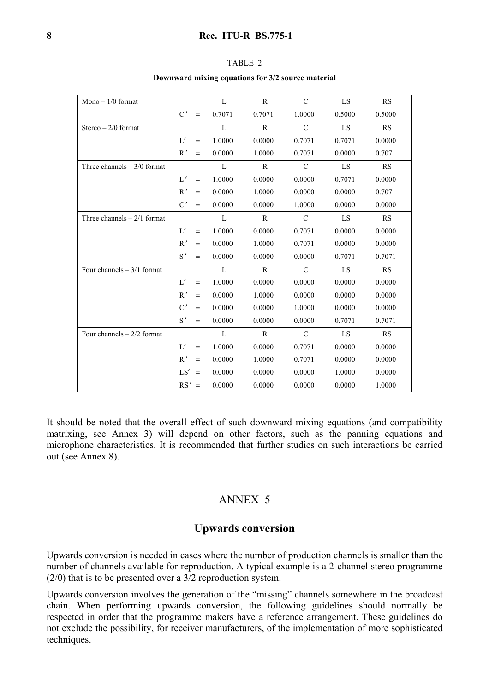| Mono $-1/0$ format           |     |     | L            | $\mathbb{R}$ | $\mathcal{C}$ | LS     | RS        |
|------------------------------|-----|-----|--------------|--------------|---------------|--------|-----------|
|                              | C'  | $=$ | 0.7071       | 0.7071       | 1.0000        | 0.5000 | 0.5000    |
| Stereo $-2/0$ format         |     |     | L            | $\mathbb{R}$ | $\mathcal{C}$ | LS     | RS        |
|                              | L'  | $=$ | 1.0000       | 0.0000       | 0.7071        | 0.7071 | 0.0000    |
|                              | R'  | $=$ | 0.0000       | 1.0000       | 0.7071        | 0.0000 | 0.7071    |
| Three channels $-3/0$ format |     |     | L            | R            | $\mathcal{C}$ | LS     | RS        |
|                              | L'  | $=$ | 1.0000       | 0.0000       | 0.0000        | 0.7071 | 0.0000    |
|                              | R'  |     | 0.0000       | 1.0000       | 0.0000        | 0.0000 | 0.7071    |
|                              | C'  | $=$ | 0.0000       | 0.0000       | 1.0000        | 0.0000 | 0.0000    |
| Three channels $-2/1$ format |     |     | L            | R            | $\mathcal{C}$ | LS     | RS        |
|                              | L'  | $=$ | 1.0000       | 0.0000       | 0.7071        | 0.0000 | 0.0000    |
|                              | R'  | $=$ | 0.0000       | 1.0000       | 0.7071        | 0.0000 | 0.0000    |
|                              | S'  | $=$ | 0.0000       | 0.0000       | 0.0000        | 0.7071 | 0.7071    |
| Four channels $-3/1$ format  |     |     | L            | $\mathbf R$  | $\mathcal{C}$ | LS     | <b>RS</b> |
|                              | L'  | $=$ | 1.0000       | 0.0000       | 0.0000        | 0.0000 | 0.0000    |
|                              | R'  | $=$ | 0.0000       | 1.0000       | 0.0000        | 0.0000 | 0.0000    |
|                              | C'  | $=$ | 0.0000       | 0.0000       | 1.0000        | 0.0000 | 0.0000    |
|                              | S'  | $=$ | 0.0000       | 0.0000       | 0.0000        | 0.7071 | 0.7071    |
| Four channels $-2/2$ format  |     |     | $\mathbf{L}$ | $\mathbf R$  | $\mathcal{C}$ | LS     | RS        |
|                              | L'  | $=$ | 1.0000       | 0.0000       | 0.7071        | 0.0000 | 0.0000    |
|                              | R'  |     | 0.0000       | 1.0000       | 0.7071        | 0.0000 | 0.0000    |
|                              | LS' |     | 0.0000       | 0.0000       | 0.0000        | 1.0000 | 0.0000    |
|                              | RS' |     | 0.0000       | 0.0000       | 0.0000        | 0.0000 | 1.0000    |

| . .<br>. . |  |
|------------|--|
|------------|--|

**Downward mixing equations for 3/2 source material** 

It should be noted that the overall effect of such downward mixing equations (and compatibility matrixing, see Annex 3) will depend on other factors, such as the panning equations and microphone characteristics. It is recommended that further studies on such interactions be carried out (see Annex 8).

### ANNEX 5

#### **Upwards conversion**

Upwards conversion is needed in cases where the number of production channels is smaller than the number of channels available for reproduction. A typical example is a 2-channel stereo programme (2/0) that is to be presented over a 3/2 reproduction system.

Upwards conversion involves the generation of the "missing" channels somewhere in the broadcast chain. When performing upwards conversion, the following guidelines should normally be respected in order that the programme makers have a reference arrangement. These guidelines do not exclude the possibility, for receiver manufacturers, of the implementation of more sophisticated techniques.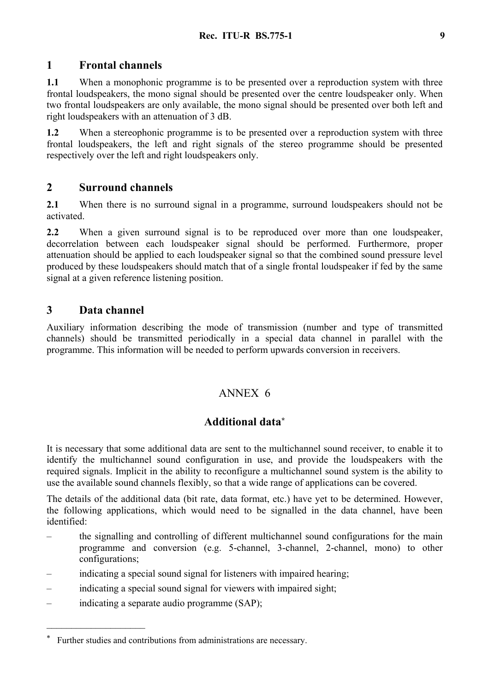### **1 Frontal channels**

**1.1** When a monophonic programme is to be presented over a reproduction system with three frontal loudspeakers, the mono signal should be presented over the centre loudspeaker only. When two frontal loudspeakers are only available, the mono signal should be presented over both left and right loudspeakers with an attenuation of 3 dB.

**1.2** When a stereophonic programme is to be presented over a reproduction system with three frontal loudspeakers, the left and right signals of the stereo programme should be presented respectively over the left and right loudspeakers only.

### **2 Surround channels**

**2.1** When there is no surround signal in a programme, surround loudspeakers should not be activated.

**2.2** When a given surround signal is to be reproduced over more than one loudspeaker, decorrelation between each loudspeaker signal should be performed. Furthermore, proper attenuation should be applied to each loudspeaker signal so that the combined sound pressure level produced by these loudspeakers should match that of a single frontal loudspeaker if fed by the same signal at a given reference listening position.

### **3 Data channel**

Auxiliary information describing the mode of transmission (number and type of transmitted channels) should be transmitted periodically in a special data channel in parallel with the programme. This information will be needed to perform upwards conversion in receivers.

### ANNEX 6

## **Additional data\***

It is necessary that some additional data are sent to the multichannel sound receiver, to enable it to identify the multichannel sound configuration in use, and provide the loudspeakers with the required signals. Implicit in the ability to reconfigure a multichannel sound system is the ability to use the available sound channels flexibly, so that a wide range of applications can be covered.

The details of the additional data (bit rate, data format, etc.) have yet to be determined. However, the following applications, which would need to be signalled in the data channel, have been identified:

- the signalling and controlling of different multichannel sound configurations for the main programme and conversion (e.g. 5-channel, 3-channel, 2-channel, mono) to other configurations;
- indicating a special sound signal for listeners with impaired hearing;
- indicating a special sound signal for viewers with impaired sight;
- indicating a separate audio programme (SAP);

 $\mathcal{L}_\text{max}$ 

Further studies and contributions from administrations are necessary.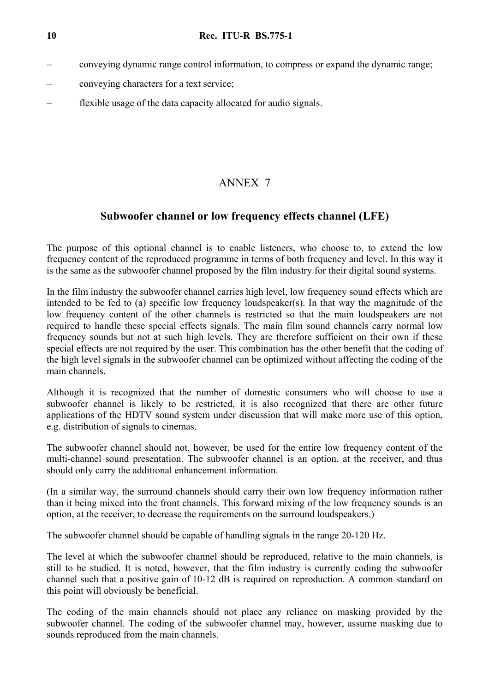- conveying dynamic range control information, to compress or expand the dynamic range;
- conveying characters for a text service;
- flexible usage of the data capacity allocated for audio signals.

## ANNEX 7

### **Subwoofer channel or low frequency effects channel (LFE)**

The purpose of this optional channel is to enable listeners, who choose to, to extend the low frequency content of the reproduced programme in terms of both frequency and level. In this way it is the same as the subwoofer channel proposed by the film industry for their digital sound systems.

In the film industry the subwoofer channel carries high level, low frequency sound effects which are intended to be fed to (a) specific low frequency loudspeaker(s). In that way the magnitude of the low frequency content of the other channels is restricted so that the main loudspeakers are not required to handle these special effects signals. The main film sound channels carry normal low frequency sounds but not at such high levels. They are therefore sufficient on their own if these special effects are not required by the user. This combination has the other benefit that the coding of the high level signals in the subwoofer channel can be optimized without affecting the coding of the main channels.

Although it is recognized that the number of domestic consumers who will choose to use a subwoofer channel is likely to be restricted, it is also recognized that there are other future applications of the HDTV sound system under discussion that will make more use of this option, e.g. distribution of signals to cinemas.

The subwoofer channel should not, however, be used for the entire low frequency content of the multi-channel sound presentation. The subwoofer channel is an option, at the receiver, and thus should only carry the additional enhancement information.

(In a similar way, the surround channels should carry their own low frequency information rather than it being mixed into the front channels. This forward mixing of the low frequency sounds is an option, at the receiver, to decrease the requirements on the surround loudspeakers.)

The subwoofer channel should be capable of handling signals in the range 20-120 Hz.

The level at which the subwoofer channel should be reproduced, relative to the main channels, is still to be studied. It is noted, however, that the film industry is currently coding the subwoofer channel such that a positive gain of 10-12 dB is required on reproduction. A common standard on this point will obviously be beneficial.

The coding of the main channels should not place any reliance on masking provided by the subwoofer channel. The coding of the subwoofer channel may, however, assume masking due to sounds reproduced from the main channels.